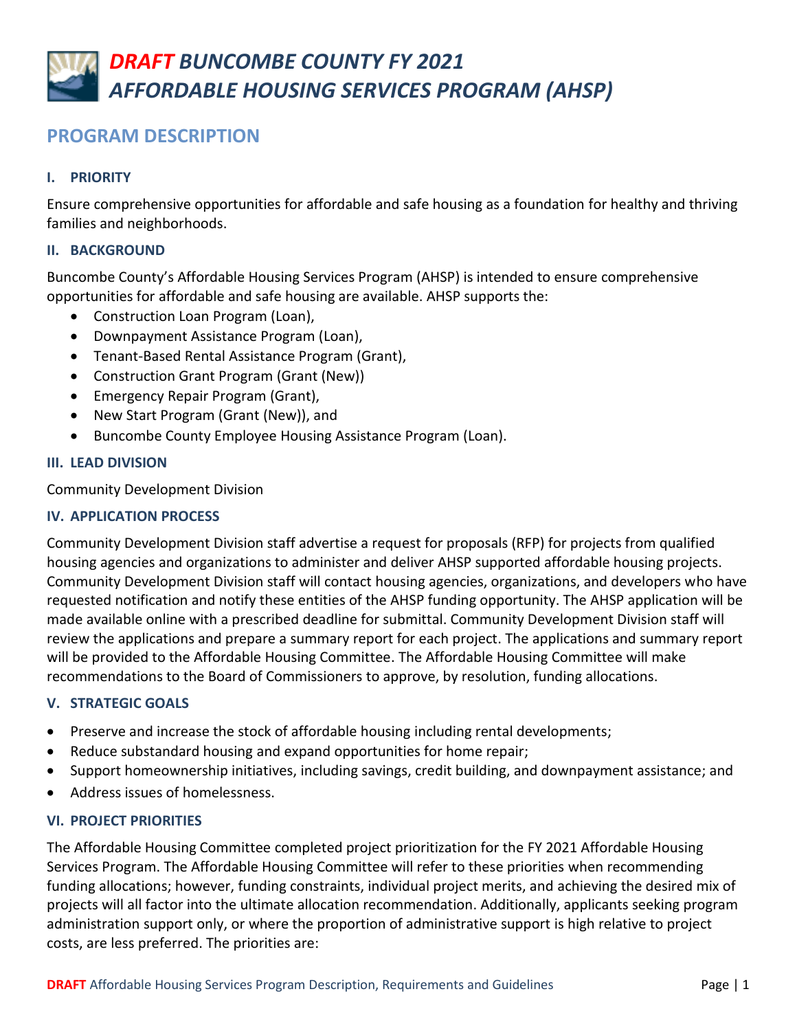# **PROGRAM DESCRIPTION**

# **I. PRIORITY**

Ensure comprehensive opportunities for affordable and safe housing as a foundation for healthy and thriving families and neighborhoods.

# **II. BACKGROUND**

Buncombe County's Affordable Housing Services Program (AHSP) is intended to ensure comprehensive opportunities for affordable and safe housing are available. AHSP supports the:

- Construction Loan Program (Loan),
- Downpayment Assistance Program (Loan),
- Tenant-Based Rental Assistance Program (Grant),
- Construction Grant Program (Grant (New))
- Emergency Repair Program (Grant),
- New Start Program (Grant (New)), and
- Buncombe County Employee Housing Assistance Program (Loan).

# **III. LEAD DIVISION**

Community Development Division

# **IV. APPLICATION PROCESS**

Community Development Division staff advertise a request for proposals (RFP) for projects from qualified housing agencies and organizations to administer and deliver AHSP supported affordable housing projects. Community Development Division staff will contact housing agencies, organizations, and developers who have requested notification and notify these entities of the AHSP funding opportunity. The AHSP application will be made available online with a prescribed deadline for submittal. Community Development Division staff will review the applications and prepare a summary report for each project. The applications and summary report will be provided to the Affordable Housing Committee. The Affordable Housing Committee will make recommendations to the Board of Commissioners to approve, by resolution, funding allocations.

# **V. STRATEGIC GOALS**

- Preserve and increase the stock of affordable housing including rental developments;
- Reduce substandard housing and expand opportunities for home repair;
- Support homeownership initiatives, including savings, credit building, and downpayment assistance; and
- Address issues of homelessness.

# **VI. PROJECT PRIORITIES**

The Affordable Housing Committee completed project prioritization for the FY 2021 Affordable Housing Services Program. The Affordable Housing Committee will refer to these priorities when recommending funding allocations; however, funding constraints, individual project merits, and achieving the desired mix of projects will all factor into the ultimate allocation recommendation. Additionally, applicants seeking program administration support only, or where the proportion of administrative support is high relative to project costs, are less preferred. The priorities are: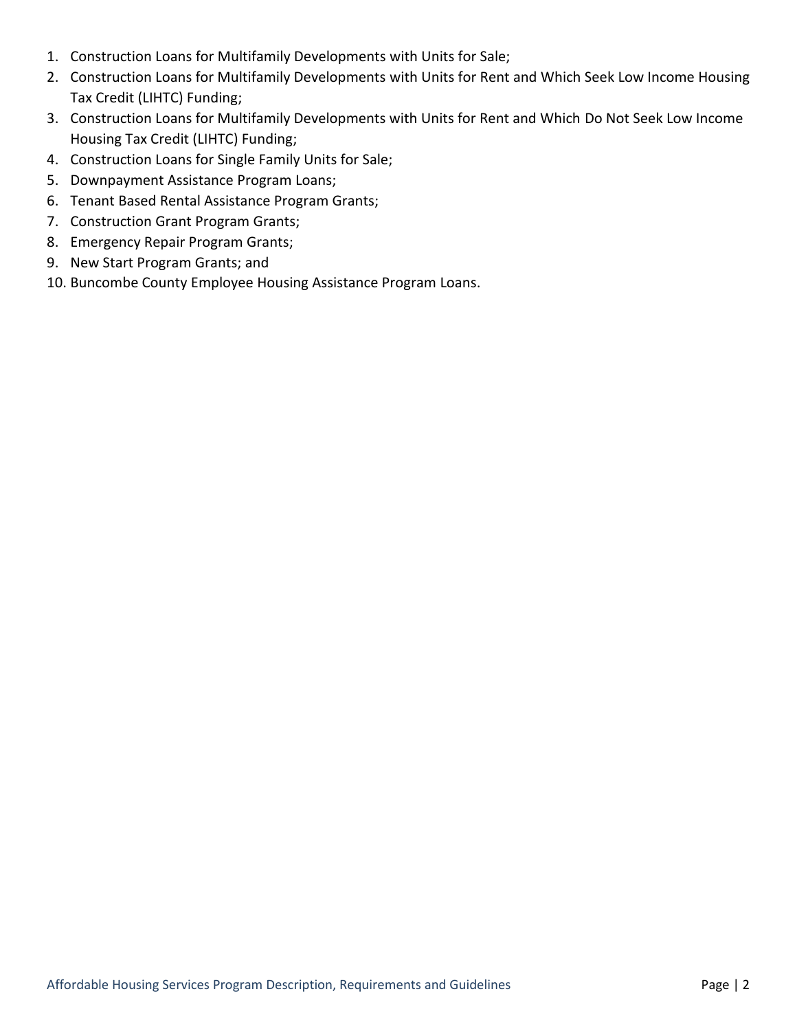- 1. Construction Loans for Multifamily Developments with Units for Sale;
- 2. Construction Loans for Multifamily Developments with Units for Rent and Which Seek Low Income Housing Tax Credit (LIHTC) Funding;
- 3. Construction Loans for Multifamily Developments with Units for Rent and Which Do Not Seek Low Income Housing Tax Credit (LIHTC) Funding;
- 4. Construction Loans for Single Family Units for Sale;
- 5. Downpayment Assistance Program Loans;
- 6. Tenant Based Rental Assistance Program Grants;
- 7. Construction Grant Program Grants;
- 8. Emergency Repair Program Grants;
- 9. New Start Program Grants; and
- 10. Buncombe County Employee Housing Assistance Program Loans.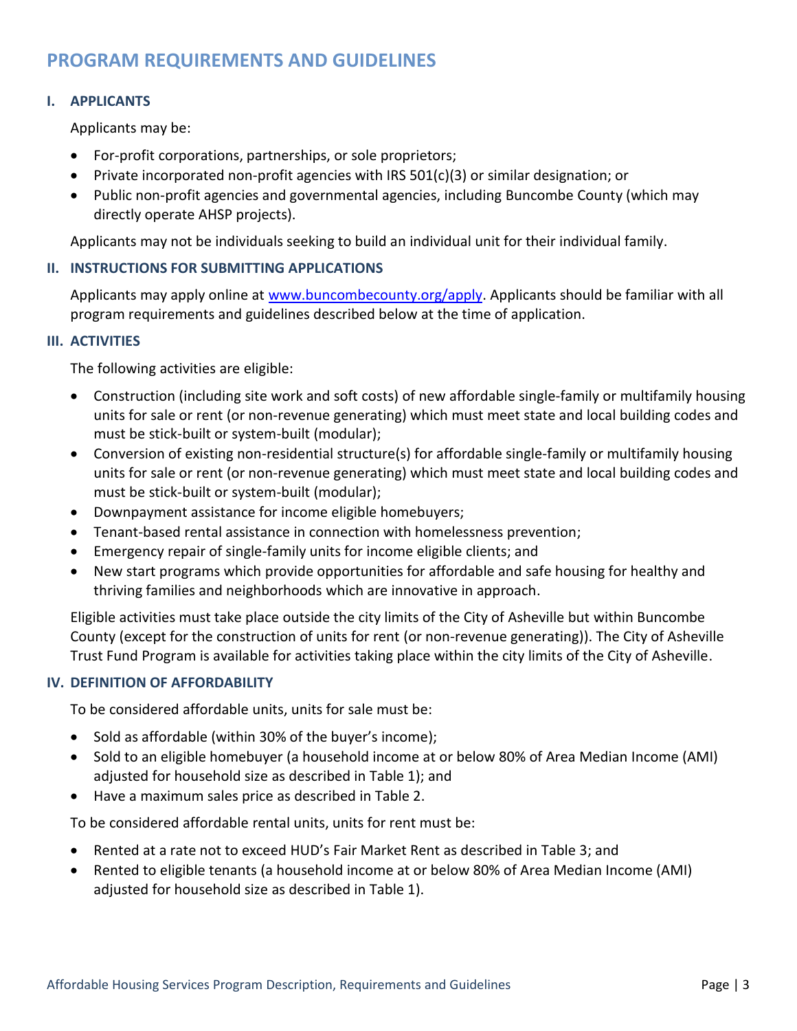# **PROGRAM REQUIREMENTS AND GUIDELINES**

## **I. APPLICANTS**

Applicants may be:

- For-profit corporations, partnerships, or sole proprietors;
- Private incorporated non-profit agencies with IRS  $501(c)(3)$  or similar designation; or
- Public non-profit agencies and governmental agencies, including Buncombe County (which may directly operate AHSP projects).

Applicants may not be individuals seeking to build an individual unit for their individual family.

#### **II. INSTRUCTIONS FOR SUBMITTING APPLICATIONS**

Applicants may apply online at [www.buncombecounty.org/apply.](http://www.buncombecounty.org/apply) Applicants should be familiar with all program requirements and guidelines described below at the time of application.

#### **III. ACTIVITIES**

The following activities are eligible:

- Construction (including site work and soft costs) of new affordable single-family or multifamily housing units for sale or rent (or non-revenue generating) which must meet state and local building codes and must be stick-built or system-built (modular);
- Conversion of existing non-residential structure(s) for affordable single-family or multifamily housing units for sale or rent (or non-revenue generating) which must meet state and local building codes and must be stick-built or system-built (modular);
- Downpayment assistance for income eligible homebuyers;
- Tenant-based rental assistance in connection with homelessness prevention;
- Emergency repair of single-family units for income eligible clients; and
- New start programs which provide opportunities for affordable and safe housing for healthy and thriving families and neighborhoods which are innovative in approach.

Eligible activities must take place outside the city limits of the City of Asheville but within Buncombe County (except for the construction of units for rent (or non-revenue generating)). The City of Asheville Trust Fund Program is available for activities taking place within the city limits of the City of Asheville.

## **IV. DEFINITION OF AFFORDABILITY**

To be considered affordable units, units for sale must be:

- Sold as affordable (within 30% of the buyer's income);
- Sold to an eligible homebuyer (a household income at or below 80% of Area Median Income (AMI) adjusted for household size as described in Table 1); and
- Have a maximum sales price as described in Table 2.

To be considered affordable rental units, units for rent must be:

- Rented at a rate not to exceed HUD's Fair Market Rent as described in Table 3; and
- Rented to eligible tenants (a household income at or below 80% of Area Median Income (AMI) adjusted for household size as described in Table 1).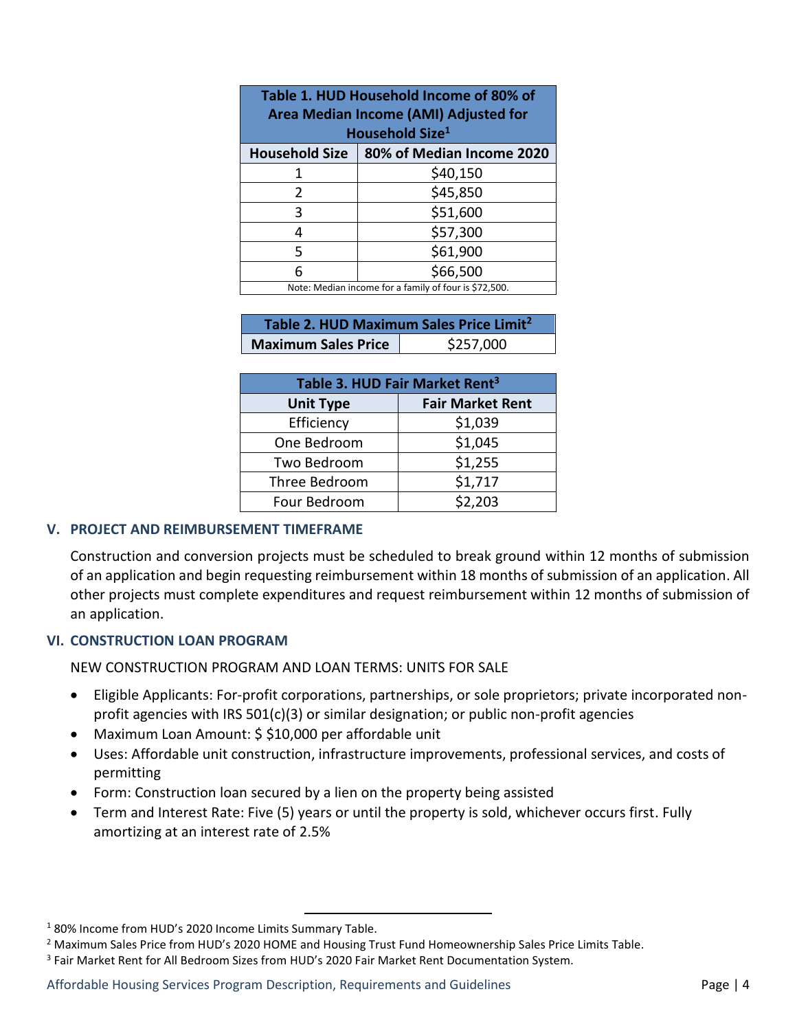| Table 1. HUD Household Income of 80% of<br>Area Median Income (AMI) Adjusted for |                           |  |
|----------------------------------------------------------------------------------|---------------------------|--|
| Household Size <sup>1</sup>                                                      |                           |  |
| <b>Household Size</b>                                                            | 80% of Median Income 2020 |  |
| 1                                                                                | \$40,150                  |  |
| 2                                                                                | \$45,850                  |  |
| 3                                                                                | \$51,600                  |  |
| 4                                                                                | \$57,300                  |  |
| 5                                                                                | \$61,900                  |  |
| 6                                                                                | \$66,500                  |  |
| Note: Median income for a family of four is \$72,500.                            |                           |  |

| Table 2. HUD Maximum Sales Price Limit <sup>2</sup> |           |  |  |
|-----------------------------------------------------|-----------|--|--|
| <b>Maximum Sales Price</b>                          | \$257,000 |  |  |

| Table 3. HUD Fair Market Rent <sup>3</sup> |                         |  |  |
|--------------------------------------------|-------------------------|--|--|
| <b>Unit Type</b>                           | <b>Fair Market Rent</b> |  |  |
| Efficiency                                 | \$1,039                 |  |  |
| One Bedroom                                | \$1,045                 |  |  |
| Two Bedroom                                | \$1,255                 |  |  |
| Three Bedroom                              | \$1,717                 |  |  |
| Four Bedroom                               | \$2,203                 |  |  |

## **V. PROJECT AND REIMBURSEMENT TIMEFRAME**

Construction and conversion projects must be scheduled to break ground within 12 months of submission of an application and begin requesting reimbursement within 18 months of submission of an application. All other projects must complete expenditures and request reimbursement within 12 months of submission of an application.

## **VI. CONSTRUCTION LOAN PROGRAM**

NEW CONSTRUCTION PROGRAM AND LOAN TERMS: UNITS FOR SALE

- Eligible Applicants: For-profit corporations, partnerships, or sole proprietors; private incorporated nonprofit agencies with IRS  $501(c)(3)$  or similar designation; or public non-profit agencies
- Maximum Loan Amount: \$ \$10,000 per affordable unit
- Uses: Affordable unit construction, infrastructure improvements, professional services, and costs of permitting
- Form: Construction loan secured by a lien on the property being assisted
- Term and Interest Rate: Five (5) years or until the property is sold, whichever occurs first. Fully amortizing at an interest rate of 2.5%

 $\overline{a}$ 

<sup>1</sup> 80% Income from HUD's 2020 Income Limits Summary Table.

<sup>&</sup>lt;sup>2</sup> Maximum Sales Price from HUD's 2020 HOME and Housing Trust Fund Homeownership Sales Price Limits Table.

<sup>3</sup> Fair Market Rent for All Bedroom Sizes from HUD's 2020 Fair Market Rent Documentation System.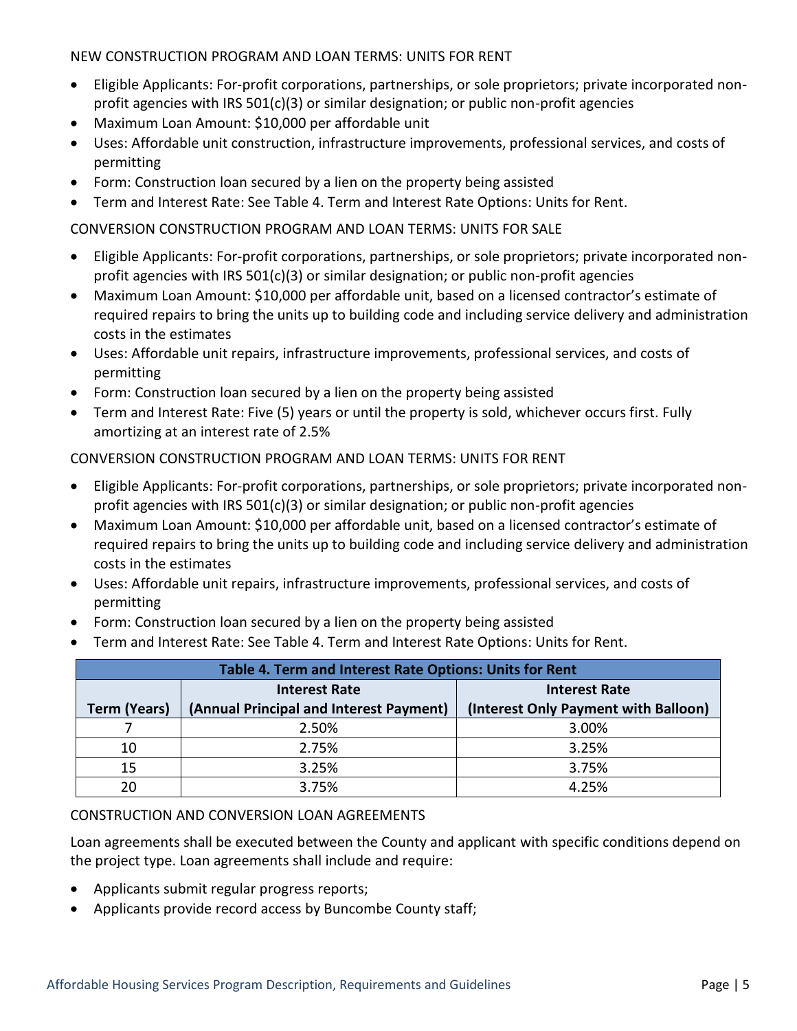NEW CONSTRUCTION PROGRAM AND LOAN TERMS: UNITS FOR RENT

- Eligible Applicants: For-profit corporations, partnerships, or sole proprietors; private incorporated nonprofit agencies with IRS  $501(c)(3)$  or similar designation; or public non-profit agencies
- Maximum Loan Amount: \$10,000 per affordable unit
- Uses: Affordable unit construction, infrastructure improvements, professional services, and costs of permitting
- Form: Construction loan secured by a lien on the property being assisted
- Term and Interest Rate: See Table 4. Term and Interest Rate Options: Units for Rent.

# CONVERSION CONSTRUCTION PROGRAM AND LOAN TERMS: UNITS FOR SALE

- Eligible Applicants: For-profit corporations, partnerships, or sole proprietors; private incorporated nonprofit agencies with IRS  $501(c)(3)$  or similar designation; or public non-profit agencies
- Maximum Loan Amount: \$10,000 per affordable unit, based on a licensed contractor's estimate of required repairs to bring the units up to building code and including service delivery and administration costs in the estimates
- Uses: Affordable unit repairs, infrastructure improvements, professional services, and costs of permitting
- Form: Construction loan secured by a lien on the property being assisted
- Term and Interest Rate: Five (5) years or until the property is sold, whichever occurs first. Fully amortizing at an interest rate of 2.5%

# CONVERSION CONSTRUCTION PROGRAM AND LOAN TERMS: UNITS FOR RENT

- Eligible Applicants: For-profit corporations, partnerships, or sole proprietors; private incorporated nonprofit agencies with IRS  $501(c)(3)$  or similar designation; or public non-profit agencies
- Maximum Loan Amount: \$10,000 per affordable unit, based on a licensed contractor's estimate of required repairs to bring the units up to building code and including service delivery and administration costs in the estimates
- Uses: Affordable unit repairs, infrastructure improvements, professional services, and costs of permitting
- Form: Construction loan secured by a lien on the property being assisted
- Term and Interest Rate: See Table 4. Term and Interest Rate Options: Units for Rent.

| Table 4. Term and Interest Rate Options: Units for Rent |                                         |                                      |  |
|---------------------------------------------------------|-----------------------------------------|--------------------------------------|--|
|                                                         | <b>Interest Rate</b>                    | <b>Interest Rate</b>                 |  |
| <b>Term (Years)</b>                                     | (Annual Principal and Interest Payment) | (Interest Only Payment with Balloon) |  |
|                                                         | 2.50%                                   | 3.00%                                |  |
| 10                                                      | 2.75%                                   | 3.25%                                |  |
| 15                                                      | 3.25%                                   | 3.75%                                |  |
| 20                                                      | 3.75%                                   | 4 25%                                |  |

# CONSTRUCTION AND CONVERSION LOAN AGREEMENTS

Loan agreements shall be executed between the County and applicant with specific conditions depend on the project type. Loan agreements shall include and require:

- Applicants submit regular progress reports;
- Applicants provide record access by Buncombe County staff;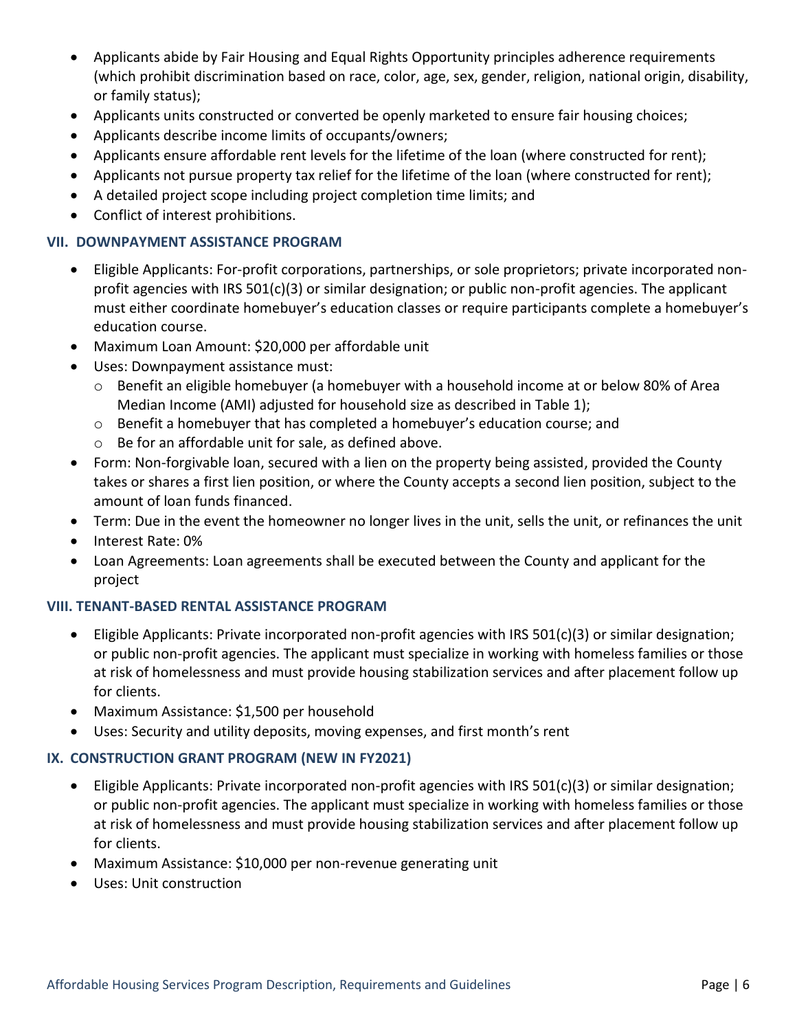- Applicants abide by Fair Housing and Equal Rights Opportunity principles adherence requirements (which prohibit discrimination based on race, color, age, sex, gender, religion, national origin, disability, or family status);
- Applicants units constructed or converted be openly marketed to ensure fair housing choices;
- Applicants describe income limits of occupants/owners;
- Applicants ensure affordable rent levels for the lifetime of the loan (where constructed for rent);
- Applicants not pursue property tax relief for the lifetime of the loan (where constructed for rent);
- A detailed project scope including project completion time limits; and
- Conflict of interest prohibitions.

#### **VII. DOWNPAYMENT ASSISTANCE PROGRAM**

- Eligible Applicants: For-profit corporations, partnerships, or sole proprietors; private incorporated nonprofit agencies with IRS 501(c)(3) or similar designation; or public non-profit agencies. The applicant must either coordinate homebuyer's education classes or require participants complete a homebuyer's education course.
- Maximum Loan Amount: \$20,000 per affordable unit
- Uses: Downpayment assistance must:
	- o Benefit an eligible homebuyer (a homebuyer with a household income at or below 80% of Area Median Income (AMI) adjusted for household size as described in Table 1);
	- o Benefit a homebuyer that has completed a homebuyer's education course; and
	- o Be for an affordable unit for sale, as defined above.
- Form: Non-forgivable loan, secured with a lien on the property being assisted, provided the County takes or shares a first lien position, or where the County accepts a second lien position, subject to the amount of loan funds financed.
- Term: Due in the event the homeowner no longer lives in the unit, sells the unit, or refinances the unit
- Interest Rate: 0%
- Loan Agreements: Loan agreements shall be executed between the County and applicant for the project

## **VIII. TENANT-BASED RENTAL ASSISTANCE PROGRAM**

- Eligible Applicants: Private incorporated non-profit agencies with IRS 501(c)(3) or similar designation; or public non-profit agencies. The applicant must specialize in working with homeless families or those at risk of homelessness and must provide housing stabilization services and after placement follow up for clients.
- Maximum Assistance: \$1,500 per household
- Uses: Security and utility deposits, moving expenses, and first month's rent

## **IX. CONSTRUCTION GRANT PROGRAM (NEW IN FY2021)**

- Eligible Applicants: Private incorporated non-profit agencies with IRS 501(c)(3) or similar designation; or public non-profit agencies. The applicant must specialize in working with homeless families or those at risk of homelessness and must provide housing stabilization services and after placement follow up for clients.
- Maximum Assistance: \$10,000 per non-revenue generating unit
- Uses: Unit construction